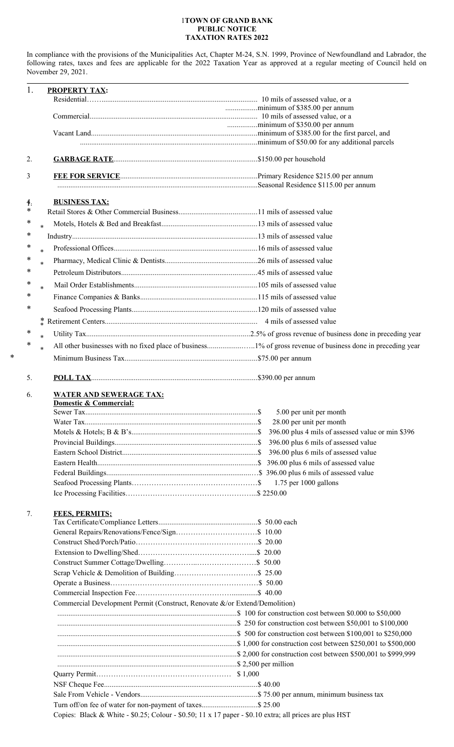## 1**TOWN OF GRAND BANK PUBLIC NOTICE TAXATION RATES 2022**

In compliance with the provisions of the Municipalities Act, Chapter M-24, S.N. 1999, Province of Newfoundland and Labrador, the following rates, taxes and fees are applicable for the 2022 Taxation Year as approved at a regular meeting of Council held on November 29, 2021.

 $\overline{a}$ 

|              | <b>PROPERTY TAX:</b>                                                       |                                      |
|--------------|----------------------------------------------------------------------------|--------------------------------------|
|              |                                                                            |                                      |
|              |                                                                            |                                      |
|              |                                                                            |                                      |
|              |                                                                            |                                      |
|              |                                                                            |                                      |
|              |                                                                            |                                      |
| 2.           |                                                                            |                                      |
| 3            |                                                                            |                                      |
| $\ddagger$ : | <b>BUSINESS TAX:</b>                                                       |                                      |
| ∗            |                                                                            |                                      |
| ∗<br>$\ast$  |                                                                            |                                      |
| ∗            |                                                                            |                                      |
| ∗<br>$\ast$  |                                                                            |                                      |
| ∗            |                                                                            |                                      |
| $\ast$<br>*  |                                                                            |                                      |
|              |                                                                            |                                      |
| ∗<br>$\ast$  |                                                                            |                                      |
| $\ast$       |                                                                            |                                      |
| ∗            |                                                                            |                                      |
|              |                                                                            |                                      |
| ∗            |                                                                            |                                      |
| $\ast$<br>∗  |                                                                            |                                      |
| $\ast$       |                                                                            |                                      |
|              |                                                                            |                                      |
| 5.           |                                                                            |                                      |
| 6.           | <b>WATER AND SEWERAGE TAX:</b><br>Domestic & Commercial:                   |                                      |
|              |                                                                            | 5.00 per unit per month              |
|              |                                                                            | 28.00 per unit per month             |
|              |                                                                            |                                      |
|              |                                                                            |                                      |
|              |                                                                            | 396.00 plus 6 mils of assessed value |
|              |                                                                            | 396.00 plus 6 mils of assessed value |
|              |                                                                            |                                      |
|              |                                                                            |                                      |
|              |                                                                            | $1.75$ per 1000 gallons              |
|              |                                                                            |                                      |
|              | <b>FEES, PERMITS:</b>                                                      |                                      |
|              |                                                                            |                                      |
|              |                                                                            |                                      |
|              |                                                                            |                                      |
|              |                                                                            |                                      |
|              |                                                                            |                                      |
|              |                                                                            |                                      |
|              |                                                                            |                                      |
|              |                                                                            |                                      |
|              | Commercial Development Permit (Construct, Renovate &/or Extend/Demolition) |                                      |
|              |                                                                            |                                      |
|              |                                                                            |                                      |
|              |                                                                            |                                      |
|              |                                                                            |                                      |
|              |                                                                            |                                      |
|              |                                                                            |                                      |
|              |                                                                            |                                      |
| 7.           |                                                                            |                                      |